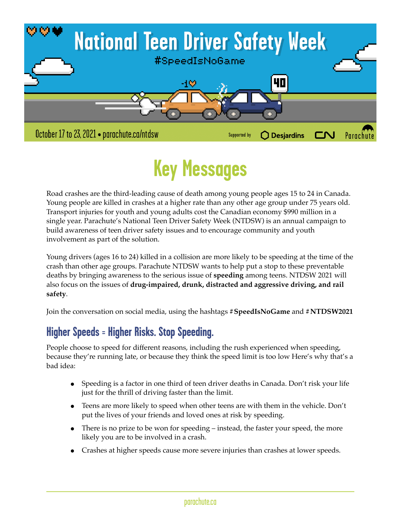

# **Key Messages**

Road crashes are the third-leading cause of death among young people ages 15 to 24 in Canada. Young people are killed in crashes at a higher rate than any other age group under 75 years old. Transport injuries for youth and young adults cost the Canadian economy \$990 million in a single year. Parachute's National Teen Driver Safety Week (NTDSW) is an annual campaign to build awareness of teen driver safety issues and to encourage community and youth involvement as part of the solution.

Young drivers (ages 16 to 24) killed in a collision are more likely to be speeding at the time of the crash than other age groups. Parachute NTDSW wants to help put a stop to these preventable deaths by bringing awareness to the serious issue of **speeding** among teens. NTDSW 2021 will also focus on the issues of **drug-impaired, drunk, distracted and aggressive driving, and rail safety**.

Join the conversation on social media, using the hashtags **#SpeedIsNoGame** and **#NTDSW2021**

## **Higher Speeds = Higher Risks. Stop Speeding.**

People choose to speed for different reasons, including the rush experienced when speeding, because they're running late, or because they think the speed limit is too low Here's why that's a bad idea:

- Speeding is a factor in one third of teen driver deaths in Canada. Don't risk your life just for the thrill of driving faster than the limit.
- Teens are more likely to speed when other teens are with them in the vehicle. Don't put the lives of your friends and loved ones at risk by speeding.
- There is no prize to be won for speeding instead, the faster your speed, the more likely you are to be involved in a crash.
- Crashes at higher speeds cause more severe injuries than crashes at lower speeds.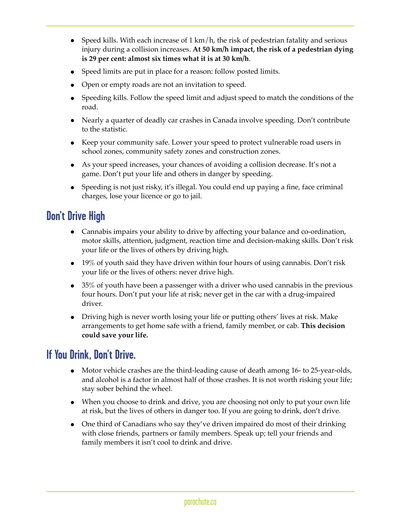- Speed kills. With each increase of  $1 \text{ km/h}$ , the risk of pedestrian fatality and serious injury during a collision increases. **At 50 km/h impact, the risk of a pedestrian dying is 29 per cent: almost six times what it is at 30 km/h**.
- Speed limits are put in place for a reason: follow posted limits.
- Open or empty roads are not an invitation to speed.
- Speeding kills. Follow the speed limit and adjust speed to match the conditions of the road.
- Nearly a quarter of deadly car crashes in Canada involve speeding. Don't contribute to the statistic.
- Keep your community safe. Lower your speed to protect vulnerable road users in school zones, community safety zones and construction zones.
- As your speed increases, your chances of avoiding a collision decrease. It's not a game. Don't put your life and others in danger by speeding.
- Speeding is not just risky, it's illegal. You could end up paying a fine, face criminal charges, lose your licence or go to jail.

## **Don't Drive High**

- Cannabis impairs your ability to drive by affecting your balance and co-ordination, motor skills, attention, judgment, reaction time and decision-making skills. Don't risk your life or the lives of others by driving high.
- 19% of youth said they have driven within four hours of using cannabis. Don't risk your life or the lives of others: never drive high.
- 35% of youth have been a passenger with a driver who used cannabis in the previous four hours. Don't put your life at risk; never get in the car with a drug-impaired driver.
- Driving high is never worth losing your life or putting others' lives at risk. Make arrangements to get home safe with a friend, family member, or cab. **This decision could save your life.**

#### **If You Drink, Don't Drive.**

- Motor vehicle crashes are the third-leading cause of death among 16- to 25-year-olds, and alcohol is a factor in almost half of those crashes. It is not worth risking your life; stay sober behind the wheel.
- When you choose to drink and drive, you are choosing not only to put your own life at risk, but the lives of others in danger too. If you are going to drink, don't drive.
- One third of Canadians who say they've driven impaired do most of their drinking with close friends, partners or family members. Speak up; tell your friends and family members it isn't cool to drink and drive.